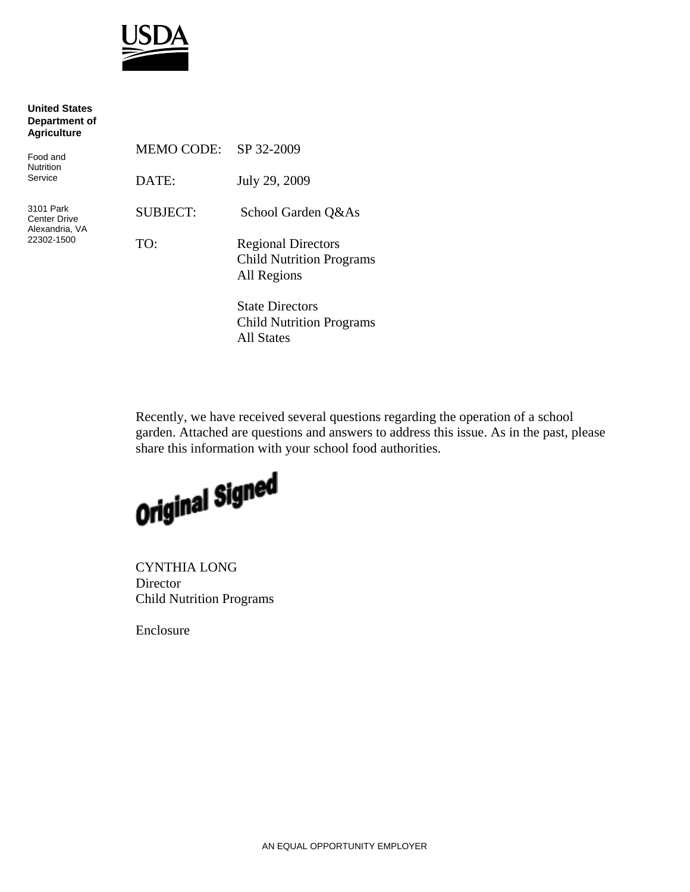

| <b>United States</b><br>Department of<br><b>Agriculture</b>      |                   |                                                                             |
|------------------------------------------------------------------|-------------------|-----------------------------------------------------------------------------|
| Food and<br><b>Nutrition</b><br>Service                          | <b>MEMO CODE:</b> | SP 32-2009                                                                  |
|                                                                  | DATE:             | July 29, 2009                                                               |
| 3101 Park<br><b>Center Drive</b><br>Alexandria, VA<br>22302-1500 | <b>SUBJECT:</b>   | School Garden Q&As                                                          |
|                                                                  | TO:               | <b>Regional Directors</b><br><b>Child Nutrition Programs</b><br>All Regions |
|                                                                  |                   | <b>State Directors</b><br><b>Child Nutrition Programs</b><br>11011          |

Recently, we have received several questions regarding the operation of a school garden. Attached are questions and answers to address this issue. As in the past, please share this information with your school food authorities.



All States

CYNTHIA LONG Director Child Nutrition Programs

Enclosure